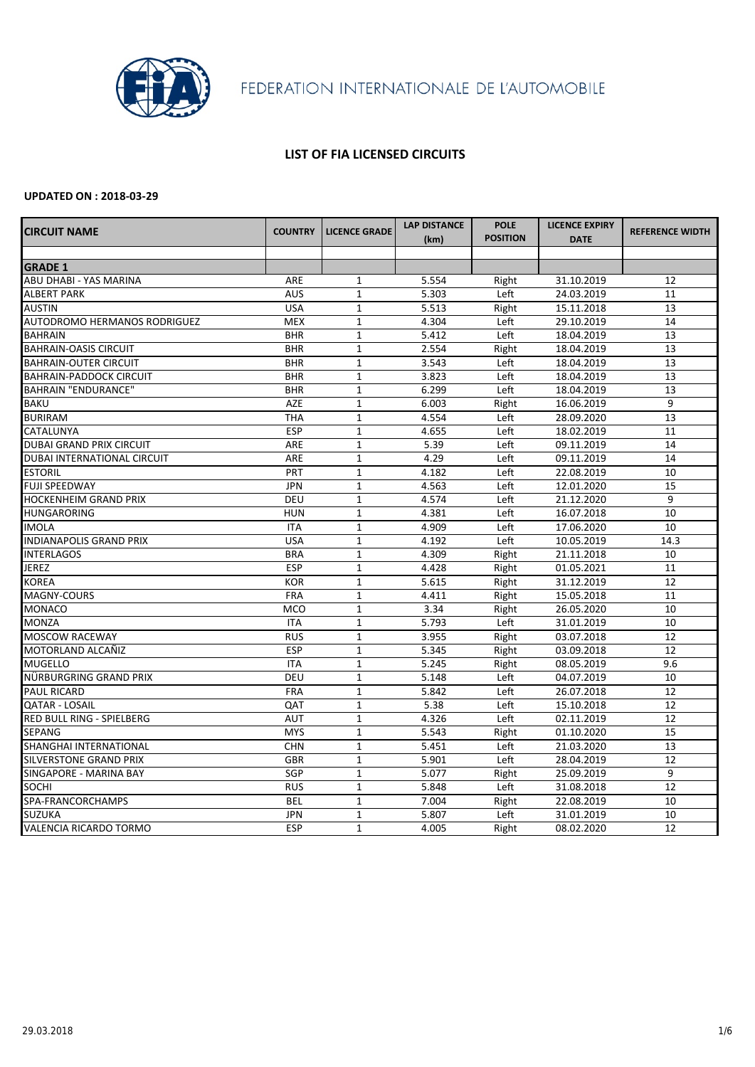

### **LIST OF FIA LICENSED CIRCUITS**

| <b>CIRCUIT NAME</b>                 | <b>COUNTRY</b> | <b>LICENCE GRADE</b> | <b>LAP DISTANCE</b> | <b>POLE</b>     | <b>LICENCE EXPIRY</b> | <b>REFERENCE WIDTH</b> |
|-------------------------------------|----------------|----------------------|---------------------|-----------------|-----------------------|------------------------|
|                                     |                |                      | (km)                | <b>POSITION</b> | <b>DATE</b>           |                        |
|                                     |                |                      |                     |                 |                       |                        |
| <b>GRADE 1</b>                      |                |                      |                     |                 |                       |                        |
| <b>ABU DHABI - YAS MARINA</b>       | ARE            | $\mathbf{1}$         | 5.554               | Right           | 31.10.2019            | 12                     |
| <b>ALBERT PARK</b>                  | <b>AUS</b>     | $\mathbf{1}$         | 5.303               | Left            | 24.03.2019            | 11                     |
| <b>AUSTIN</b>                       | <b>USA</b>     | $\mathbf{1}$         | 5.513               | Right           | 15.11.2018            | 13                     |
| <b>AUTODROMO HERMANOS RODRIGUEZ</b> | <b>MEX</b>     | $\mathbf{1}$         | 4.304               | Left            | 29.10.2019            | 14                     |
| <b>BAHRAIN</b>                      | <b>BHR</b>     | $\mathbf{1}$         | 5.412               | Left            | 18.04.2019            | 13                     |
| <b>BAHRAIN-OASIS CIRCUIT</b>        | <b>BHR</b>     | $\mathbf{1}$         | 2.554               | Right           | 18.04.2019            | 13                     |
| <b>BAHRAIN-OUTER CIRCUIT</b>        | <b>BHR</b>     | $\mathbf{1}$         | 3.543               | Left            | 18.04.2019            | 13                     |
| <b>BAHRAIN-PADDOCK CIRCUIT</b>      | <b>BHR</b>     | $\mathbf{1}$         | 3.823               | Left            | 18.04.2019            | 13                     |
| <b>BAHRAIN "ENDURANCE"</b>          | <b>BHR</b>     | $\mathbf{1}$         | 6.299               | Left            | 18.04.2019            | 13                     |
| <b>BAKU</b>                         | AZE            | $\mathbf{1}$         | 6.003               | Right           | 16.06.2019            | 9                      |
| <b>BURIRAM</b>                      | <b>THA</b>     | $\mathbf{1}$         | 4.554               | Left            | 28.09.2020            | 13                     |
| <b>CATALUNYA</b>                    | <b>ESP</b>     | $\mathbf{1}$         | 4.655               | Left            | 18.02.2019            | 11                     |
| <b>DUBAI GRAND PRIX CIRCUIT</b>     | ARE            | $\mathbf{1}$         | 5.39                | Left            | 09.11.2019            | 14                     |
| DUBAI INTERNATIONAL CIRCUIT         | ARE            | $\mathbf{1}$         | 4.29                | Left            | 09.11.2019            | 14                     |
| <b>ESTORIL</b>                      | PRT            | $\mathbf{1}$         | 4.182               | Left            | 22.08.2019            | 10                     |
| <b>FUJI SPEEDWAY</b>                | <b>JPN</b>     | $\mathbf{1}$         | 4.563               | Left            | 12.01.2020            | 15                     |
| <b>HOCKENHEIM GRAND PRIX</b>        | <b>DEU</b>     | $\mathbf{1}$         | 4.574               | Left            | 21.12.2020            | 9                      |
| <b>HUNGARORING</b>                  | <b>HUN</b>     | $\mathbf{1}$         | 4.381               | Left            | 16.07.2018            | 10                     |
| <b>IMOLA</b>                        | <b>ITA</b>     | $\mathbf{1}$         | 4.909               | Left            | 17.06.2020            | 10                     |
| <b>INDIANAPOLIS GRAND PRIX</b>      | <b>USA</b>     | $\mathbf{1}$         | 4.192               | Left            | 10.05.2019            | 14.3                   |
| <b>INTERLAGOS</b>                   | <b>BRA</b>     | $\mathbf{1}$         | 4.309               | Right           | 21.11.2018            | 10                     |
| <b>JEREZ</b>                        | <b>ESP</b>     | $\mathbf{1}$         | 4.428               | Right           | 01.05.2021            | 11                     |
| <b>KOREA</b>                        | <b>KOR</b>     | $\mathbf{1}$         | 5.615               | Right           | 31.12.2019            | 12                     |
| MAGNY-COURS                         | <b>FRA</b>     | $\mathbf{1}$         | 4.411               | Right           | 15.05.2018            | 11                     |
| <b>MONACO</b>                       | <b>MCO</b>     | $\mathbf{1}$         | 3.34                | Right           | 26.05.2020            | 10                     |
| <b>MONZA</b>                        | <b>ITA</b>     | $\mathbf{1}$         | 5.793               | Left            | 31.01.2019            | 10                     |
| <b>MOSCOW RACEWAY</b>               | <b>RUS</b>     | $\mathbf{1}$         | 3.955               | Right           | 03.07.2018            | 12                     |
| MOTORLAND ALCAÑIZ                   | <b>ESP</b>     | $\mathbf{1}$         | 5.345               | Right           | 03.09.2018            | 12                     |
| <b>MUGELLO</b>                      | <b>ITA</b>     | $\mathbf{1}$         | 5.245               | Right           | 08.05.2019            | 9.6                    |
| NÜRBURGRING GRAND PRIX              | <b>DEU</b>     | $\mathbf{1}$         | 5.148               | Left            | 04.07.2019            | 10                     |
| PAUL RICARD                         | <b>FRA</b>     | $\mathbf{1}$         | 5.842               | Left            | 26.07.2018            | 12                     |
| <b>QATAR - LOSAIL</b>               | QAT            | $\mathbf{1}$         | 5.38                | Left            | 15.10.2018            | 12                     |
| <b>RED BULL RING - SPIELBERG</b>    | <b>AUT</b>     | $\mathbf{1}$         | 4.326               | Left            | 02.11.2019            | 12                     |
| <b>SEPANG</b>                       | <b>MYS</b>     | $\mathbf{1}$         | 5.543               | Right           | 01.10.2020            | 15                     |
| SHANGHAI INTERNATIONAL              | <b>CHN</b>     | $\mathbf{1}$         | 5.451               | Left            | 21.03.2020            | 13                     |
| <b>SILVERSTONE GRAND PRIX</b>       | <b>GBR</b>     | $\mathbf{1}$         | 5.901               | Left            | 28.04.2019            | 12                     |
| SINGAPORE - MARINA BAY              | SGP            | $\mathbf{1}$         | 5.077               | Right           | 25.09.2019            | 9                      |
| <b>SOCHI</b>                        | <b>RUS</b>     | $\mathbf{1}$         | 5.848               | Left            | 31.08.2018            | 12                     |
| SPA-FRANCORCHAMPS                   | <b>BEL</b>     | $\mathbf{1}$         | 7.004               | Right           | 22.08.2019            | 10                     |
| <b>SUZUKA</b>                       | <b>JPN</b>     | $\mathbf{1}$         | 5.807               | Left            | 31.01.2019            | 10                     |
| VALENCIA RICARDO TORMO              | <b>ESP</b>     | $\mathbf{1}$         | 4.005               | Right           | 08.02.2020            | 12                     |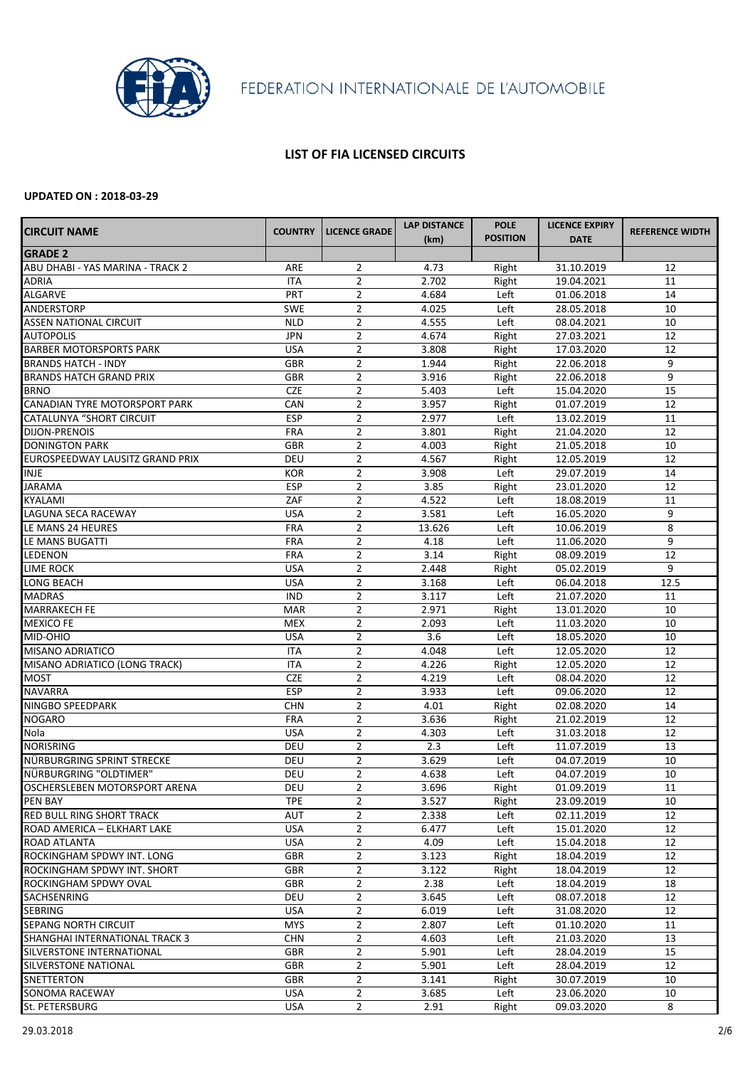

## **LIST OF FIA LICENSED CIRCUITS**

| <b>CIRCUIT NAME</b>              | <b>COUNTRY</b> | <b>LICENCE GRADE</b> | <b>LAP DISTANCE</b> | <b>POLE</b>     | <b>LICENCE EXPIRY</b> | <b>REFERENCE WIDTH</b> |
|----------------------------------|----------------|----------------------|---------------------|-----------------|-----------------------|------------------------|
|                                  |                |                      | (km)                | <b>POSITION</b> | <b>DATE</b>           |                        |
| <b>GRADE 2</b>                   |                |                      |                     |                 |                       |                        |
| ABU DHABI - YAS MARINA - TRACK 2 | ARE            | 2                    | 4.73                | Right           | 31.10.2019            | 12                     |
| <b>ADRIA</b>                     | <b>ITA</b>     | $\overline{2}$       | 2.702               | Right           | 19.04.2021            | 11                     |
| <b>ALGARVE</b>                   | PRT            | $\overline{2}$       | 4.684               | Left            | 01.06.2018            | 14                     |
| <b>ANDERSTORP</b>                | <b>SWE</b>     | $\overline{2}$       | 4.025               | Left            | 28.05.2018            | 10                     |
| <b>ASSEN NATIONAL CIRCUIT</b>    | <b>NLD</b>     | $\overline{2}$       | 4.555               | Left            | 08.04.2021            | 10                     |
| <b>AUTOPOLIS</b>                 | <b>JPN</b>     | $\overline{2}$       | 4.674               | Right           | 27.03.2021            | 12                     |
| <b>BARBER MOTORSPORTS PARK</b>   | <b>USA</b>     | $\overline{2}$       | 3.808               | Right           | 17.03.2020            | 12                     |
| <b>BRANDS HATCH - INDY</b>       | <b>GBR</b>     | $\overline{2}$       | 1.944               | Right           | 22.06.2018            | 9                      |
| <b>BRANDS HATCH GRAND PRIX</b>   | <b>GBR</b>     | $\overline{2}$       | 3.916               | Right           | 22.06.2018            | 9                      |
| <b>BRNO</b>                      | <b>CZE</b>     | $\overline{2}$       | 5.403               | Left            | 15.04.2020            | 15                     |
| CANADIAN TYRE MOTORSPORT PARK    | CAN            | $\overline{2}$       | 3.957               | Right           | 01.07.2019            | 12                     |
| <b>CATALUNYA "SHORT CIRCUIT</b>  | <b>ESP</b>     | $\overline{2}$       | 2.977               | Left            | 13.02.2019            | 11                     |
| <b>DIJON-PRENOIS</b>             | <b>FRA</b>     | $\overline{2}$       | 3.801               | Right           | 21.04.2020            | 12                     |
| <b>DONINGTON PARK</b>            | <b>GBR</b>     | $\overline{2}$       | 4.003               | Right           | 21.05.2018            | 10                     |
| EUROSPEEDWAY LAUSITZ GRAND PRIX  | <b>DEU</b>     | $\overline{2}$       | 4.567               | Right           | 12.05.2019            | 12                     |
| <b>INJE</b>                      | <b>KOR</b>     | $\overline{2}$       | 3.908               | Left            | 29.07.2019            | 14                     |
| <b>JARAMA</b>                    | <b>ESP</b>     | $\overline{2}$       | 3.85                | Right           | 23.01.2020            | 12                     |
| <b>KYALAMI</b>                   | ZAF            | $\overline{2}$       | 4.522               | Left            | 18.08.2019            | 11                     |
| <b>LAGUNA SECA RACEWAY</b>       | <b>USA</b>     | $\overline{2}$       | 3.581               | Left            | 16.05.2020            | 9                      |
| LE MANS 24 HEURES                | <b>FRA</b>     | $\overline{2}$       | 13.626              | Left            | 10.06.2019            | 8                      |
| LE MANS BUGATTI                  | <b>FRA</b>     | $\overline{2}$       | 4.18                | Left            | 11.06.2020            | 9                      |
| LEDENON                          | <b>FRA</b>     | $\overline{2}$       | 3.14                | Right           | 08.09.2019            | 12                     |
| <b>LIME ROCK</b>                 | <b>USA</b>     | $\overline{2}$       | 2.448               | Right           | 05.02.2019            | 9                      |
| LONG BEACH                       | <b>USA</b>     | $\overline{2}$       | 3.168               | Left            | 06.04.2018            | 12.5                   |
| <b>MADRAS</b>                    | <b>IND</b>     | $\overline{2}$       | 3.117               | Left            | 21.07.2020            | 11                     |
| <b>MARRAKECH FE</b>              | <b>MAR</b>     | $\overline{2}$       | 2.971               | Right           | 13.01.2020            | 10                     |
| <b>MEXICO FE</b>                 | <b>MEX</b>     | $\overline{2}$       | 2.093               | Left            | 11.03.2020            | 10                     |
| MID-OHIO                         | <b>USA</b>     | $\overline{2}$       | 3.6                 | Left            | 18.05.2020            | 10                     |
| <b>MISANO ADRIATICO</b>          | <b>ITA</b>     | $\overline{2}$       | 4.048               | Left            | 12.05.2020            | 12                     |
| MISANO ADRIATICO (LONG TRACK)    | <b>ITA</b>     | $\overline{2}$       | 4.226               | Right           | 12.05.2020            | 12                     |
| <b>MOST</b>                      | <b>CZE</b>     | $\overline{2}$       | 4.219               | Left            | 08.04.2020            | 12                     |
| <b>NAVARRA</b>                   | <b>ESP</b>     | $\overline{2}$       | 3.933               | Left            | 09.06.2020            | 12                     |
| NINGBO SPEEDPARK                 | <b>CHN</b>     | $\overline{2}$       | 4.01                | Right           | 02.08.2020            | 14                     |
| <b>NOGARO</b>                    | <b>FRA</b>     | $\overline{2}$       | 3.636               | Right           | 21.02.2019            | 12                     |
| Nola                             | <b>USA</b>     | $\overline{2}$       | 4.303               | Left            | 31.03.2018            | 12                     |
| <b>NORISRING</b>                 | <b>DEU</b>     | $\overline{2}$       | 2.3                 | Left            | 11.07.2019            | 13                     |
| NÜRBURGRING SPRINT STRECKE       | <b>DEU</b>     | $\overline{2}$       | 3.629               | Left            | 04.07.2019            | 10                     |
| NÜRBURGRING "OLDTIMER"           | <b>DEU</b>     | $\overline{2}$       | 4.638               | Left            | 04.07.2019            | 10                     |
| OSCHERSLEBEN MOTORSPORT ARENA    | <b>DEU</b>     | $\overline{2}$       | 3.696               |                 | 01.09.2019            | 11                     |
| <b>PEN BAY</b>                   | <b>TPE</b>     | $\overline{2}$       | 3.527               | Right           | 23.09.2019            | 10                     |
| <b>RED BULL RING SHORT TRACK</b> | <b>AUT</b>     | $\overline{2}$       | 2.338               | Right<br>Left   | 02.11.2019            | 12                     |
|                                  |                | $\overline{2}$       |                     |                 |                       | 12                     |
| ROAD AMERICA - ELKHART LAKE      | <b>USA</b>     |                      | 6.477               | Left            | 15.01.2020            |                        |
| <b>ROAD ATLANTA</b>              | <b>USA</b>     | $\overline{2}$       | 4.09                | Left            | 15.04.2018            | 12                     |
| ROCKINGHAM SPDWY INT. LONG       | <b>GBR</b>     | $\overline{2}$       | 3.123               | Right           | 18.04.2019            | 12                     |
| ROCKINGHAM SPDWY INT. SHORT      | <b>GBR</b>     | $\overline{2}$       | 3.122               | Right           | 18.04.2019            | 12                     |
| ROCKINGHAM SPDWY OVAL            | <b>GBR</b>     | $\overline{2}$       | 2.38                | Left            | 18.04.2019            | 18                     |
| SACHSENRING                      | <b>DEU</b>     | $\overline{2}$       | 3.645               | Left            | 08.07.2018            | 12                     |
| <b>SEBRING</b>                   | <b>USA</b>     | $\overline{2}$       | 6.019               | Left            | 31.08.2020            | 12                     |
| <b>SEPANG NORTH CIRCUIT</b>      | <b>MYS</b>     | $\overline{2}$       | 2.807               | Left            | 01.10.2020            | 11                     |
| SHANGHAI INTERNATIONAL TRACK 3   | <b>CHN</b>     | $\overline{2}$       | 4.603               | Left            | 21.03.2020            | 13                     |
| SILVERSTONE INTERNATIONAL        | <b>GBR</b>     | $\overline{2}$       | 5.901               | Left            | 28.04.2019            | 15                     |
| <b>SILVERSTONE NATIONAL</b>      | <b>GBR</b>     | $\overline{2}$       | 5.901               | Left            | 28.04.2019            | 12                     |
| <b>SNETTERTON</b>                | <b>GBR</b>     | $\overline{2}$       | 3.141               | Right           | 30.07.2019            | 10                     |
| <b>SONOMA RACEWAY</b>            | <b>USA</b>     | $\overline{2}$       | 3.685               | Left            | 23.06.2020            | 10                     |
| St. PETERSBURG                   | <b>USA</b>     | $\overline{2}$       | 2.91                | Right           | 09.03.2020            | 8                      |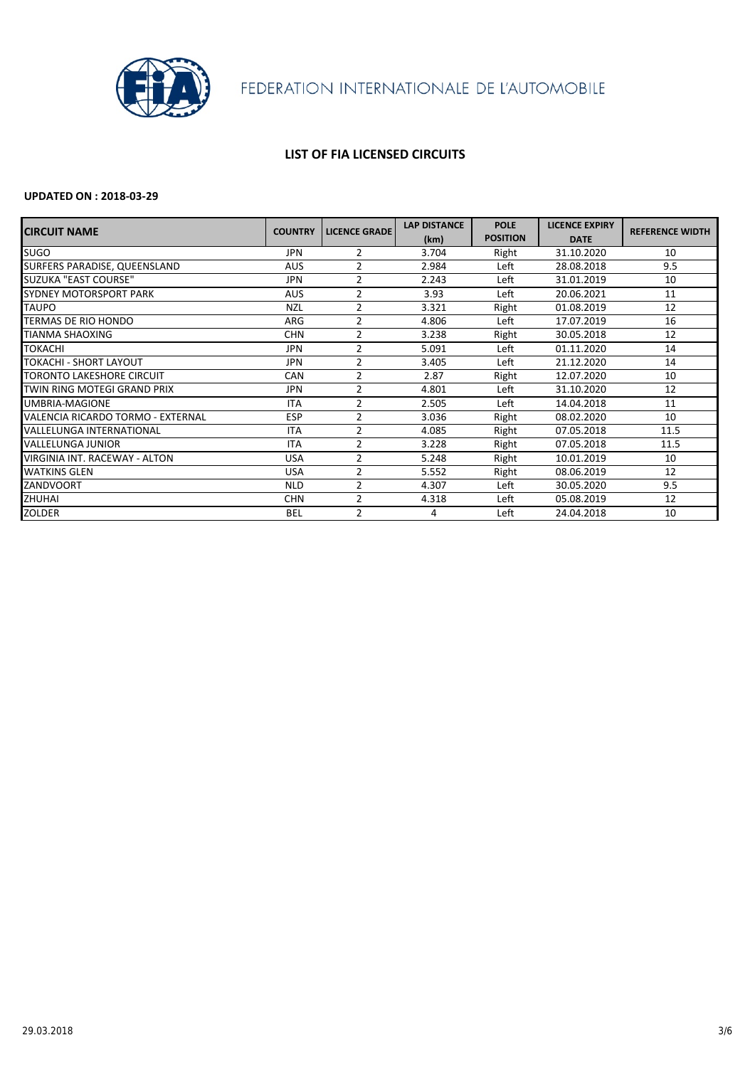

## **LIST OF FIA LICENSED CIRCUITS**

| <b>CIRCUIT NAME</b>               | <b>COUNTRY</b> | <b>LICENCE GRADE</b> | <b>LAP DISTANCE</b> | <b>POLE</b>     | <b>LICENCE EXPIRY</b> | <b>REFERENCE WIDTH</b> |
|-----------------------------------|----------------|----------------------|---------------------|-----------------|-----------------------|------------------------|
|                                   |                |                      | (km)                | <b>POSITION</b> | <b>DATE</b>           |                        |
| <b>SUGO</b>                       | <b>JPN</b>     | $\overline{2}$       | 3.704               | Right           | 31.10.2020            | 10                     |
| SURFERS PARADISE, QUEENSLAND      | <b>AUS</b>     | $\overline{2}$       | 2.984               | Left            | 28.08.2018            | 9.5                    |
| SUZUKA "EAST COURSE"              | <b>JPN</b>     | $\overline{2}$       | 2.243               | Left            | 31.01.2019            | 10                     |
| <b>SYDNEY MOTORSPORT PARK</b>     | <b>AUS</b>     | $\overline{2}$       | 3.93                | Left            | 20.06.2021            | 11                     |
| <b>TAUPO</b>                      | <b>NZL</b>     | 2                    | 3.321               | Right           | 01.08.2019            | 12                     |
| <b>TERMAS DE RIO HONDO</b>        | ARG            | $\overline{2}$       | 4.806               | Left            | 17.07.2019            | 16                     |
| <b>TIANMA SHAOXING</b>            | <b>CHN</b>     | $\overline{2}$       | 3.238               | Right           | 30.05.2018            | 12                     |
| <b>TOKACHI</b>                    | <b>JPN</b>     | 2                    | 5.091               | Left            | 01.11.2020            | 14                     |
| <b>TOKACHI - SHORT LAYOUT</b>     | <b>JPN</b>     | $\overline{2}$       | 3.405               | Left            | 21.12.2020            | 14                     |
| <b>TORONTO LAKESHORE CIRCUIT</b>  | <b>CAN</b>     | $\overline{2}$       | 2.87                | Right           | 12.07.2020            | 10                     |
| TWIN RING MOTEGI GRAND PRIX       | JPN.           | $\overline{2}$       | 4.801               | Left            | 31.10.2020            | 12                     |
| <b>UMBRIA-MAGIONE</b>             | <b>ITA</b>     | $\overline{2}$       | 2.505               | Left            | 14.04.2018            | 11                     |
| VALENCIA RICARDO TORMO - EXTERNAL | <b>ESP</b>     | $\overline{2}$       | 3.036               | Right           | 08.02.2020            | 10                     |
| <b>VALLELUNGA INTERNATIONAL</b>   | <b>ITA</b>     | $\overline{2}$       | 4.085               | Right           | 07.05.2018            | 11.5                   |
| <b>VALLELUNGA JUNIOR</b>          | <b>ITA</b>     | $\overline{2}$       | 3.228               | Right           | 07.05.2018            | 11.5                   |
| VIRGINIA INT. RACEWAY - ALTON     | <b>USA</b>     | $\overline{2}$       | 5.248               | Right           | 10.01.2019            | 10                     |
| <b>WATKINS GLEN</b>               | <b>USA</b>     | 2                    | 5.552               | Right           | 08.06.2019            | 12                     |
| <b>ZANDVOORT</b>                  | <b>NLD</b>     | $\overline{2}$       | 4.307               | Left            | 30.05.2020            | 9.5                    |
| <b>ZHUHAI</b>                     | <b>CHN</b>     | $\overline{2}$       | 4.318               | Left            | 05.08.2019            | 12                     |
| <b>ZOLDER</b>                     | <b>BEL</b>     | 2                    | 4                   | Left            | 24.04.2018            | 10                     |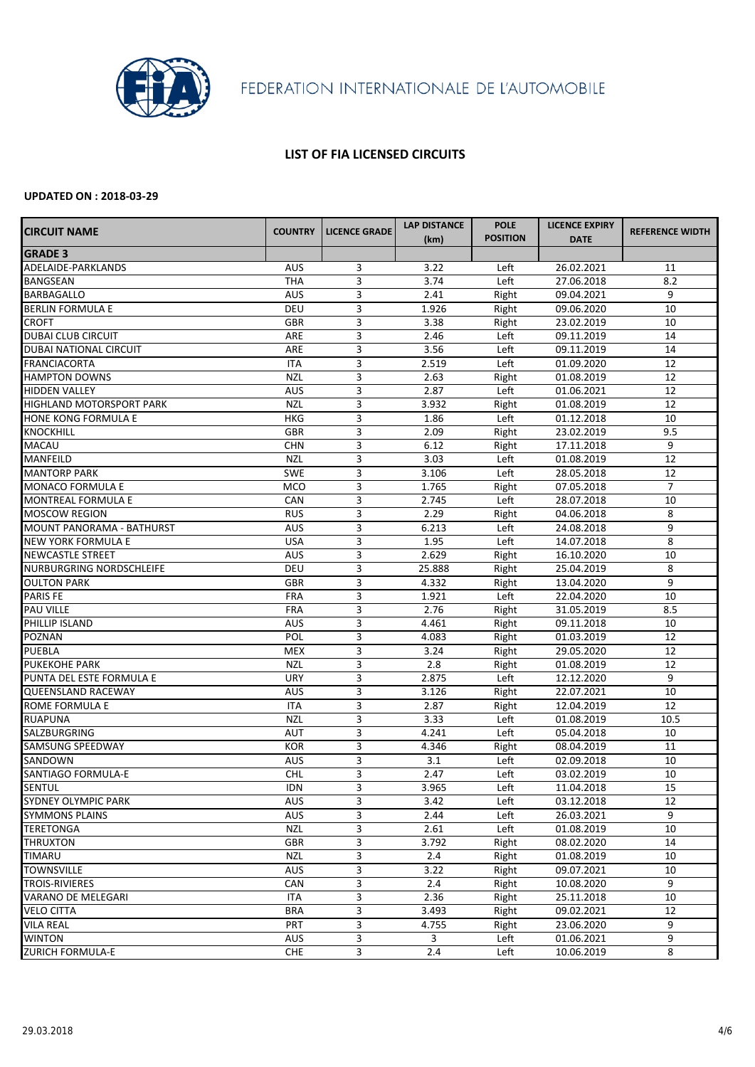

### **LIST OF FIA LICENSED CIRCUITS**

| <b>CIRCUIT NAME</b>             | <b>COUNTRY</b> | <b>LICENCE GRADE</b> | <b>LAP DISTANCE</b> | <b>POLE</b>     | <b>LICENCE EXPIRY</b> | <b>REFERENCE WIDTH</b> |
|---------------------------------|----------------|----------------------|---------------------|-----------------|-----------------------|------------------------|
|                                 |                |                      | (km)                | <b>POSITION</b> | <b>DATE</b>           |                        |
| <b>GRADE 3</b>                  |                |                      |                     |                 |                       |                        |
| ADELAIDE-PARKLANDS              | <b>AUS</b>     | 3                    | 3.22                | Left            | 26.02.2021            | 11                     |
| <b>BANGSEAN</b>                 | <b>THA</b>     | $\overline{3}$       | 3.74                | Left            | 27.06.2018            | 8.2                    |
| <b>BARBAGALLO</b>               | <b>AUS</b>     | 3                    | 2.41                | Right           | 09.04.2021            | 9                      |
| <b>BERLIN FORMULA E</b>         | DEU            | 3                    | 1.926               | Right           | 09.06.2020            | 10                     |
| <b>CROFT</b>                    | <b>GBR</b>     | 3                    | 3.38                | Right           | 23.02.2019            | 10                     |
| <b>DUBAI CLUB CIRCUIT</b>       | ARE            | 3                    | 2.46                | Left            | 09.11.2019            | 14                     |
| <b>DUBAI NATIONAL CIRCUIT</b>   | ARE            | 3                    | 3.56                | Left            | 09.11.2019            | 14                     |
| <b>FRANCIACORTA</b>             | <b>ITA</b>     | 3                    | 2.519               | Left            | 01.09.2020            | 12                     |
| <b>HAMPTON DOWNS</b>            | <b>NZL</b>     | 3                    | 2.63                | Right           | 01.08.2019            | 12                     |
| <b>HIDDEN VALLEY</b>            | <b>AUS</b>     | 3                    | 2.87                | Left            | 01.06.2021            | 12                     |
| <b>HIGHLAND MOTORSPORT PARK</b> | <b>NZL</b>     | 3                    | 3.932               | Right           | 01.08.2019            | 12                     |
| HONE KONG FORMULA E             | <b>HKG</b>     | 3                    | 1.86                | Left            | 01.12.2018            | 10                     |
| <b>KNOCKHILL</b>                | <b>GBR</b>     | 3                    | 2.09                | Right           | 23.02.2019            | 9.5                    |
| <b>MACAU</b>                    | <b>CHN</b>     | 3                    | 6.12                | Right           | 17.11.2018            | 9                      |
| <b>MANFEILD</b>                 | <b>NZL</b>     | 3                    | 3.03                | Left            | 01.08.2019            | 12                     |
| <b>MANTORP PARK</b>             | <b>SWE</b>     | 3                    | 3.106               | Left            | 28.05.2018            | 12                     |
| <b>MONACO FORMULA E</b>         | <b>MCO</b>     | 3                    | 1.765               | Right           | 07.05.2018            | $\overline{7}$         |
| <b>MONTREAL FORMULA E</b>       | CAN            | 3                    | 2.745               | Left            | 28.07.2018            | 10                     |
| <b>MOSCOW REGION</b>            | <b>RUS</b>     | 3                    | 2.29                | Right           | 04.06.2018            | 8                      |
| MOUNT PANORAMA - BATHURST       | <b>AUS</b>     | 3                    | 6.213               | Left            | 24.08.2018            | 9                      |
| <b>NEW YORK FORMULA E</b>       | <b>USA</b>     | 3                    | 1.95                | Left            | 14.07.2018            | 8                      |
| <b>NEWCASTLE STREET</b>         | <b>AUS</b>     | 3                    | 2.629               | Right           | 16.10.2020            | 10                     |
| <b>NURBURGRING NORDSCHLEIFE</b> | <b>DEU</b>     | 3                    | 25.888              | Right           | 25.04.2019            | 8                      |
| <b>OULTON PARK</b>              | <b>GBR</b>     | 3                    | 4.332               | Right           | 13.04.2020            | 9                      |
| <b>PARIS FE</b>                 | <b>FRA</b>     | 3                    | 1.921               | Left            | 22.04.2020            | 10                     |
| <b>PAU VILLE</b>                | <b>FRA</b>     | 3                    | 2.76                | Right           | 31.05.2019            | 8.5                    |
| PHILLIP ISLAND                  | <b>AUS</b>     | 3                    | 4.461               | Right           | 09.11.2018            | 10                     |
| <b>POZNAN</b>                   | POL            | 3                    | 4.083               | Right           | 01.03.2019            | 12                     |
| <b>PUEBLA</b>                   | <b>MEX</b>     | 3                    | 3.24                | Right           | 29.05.2020            | 12                     |
| <b>PUKEKOHE PARK</b>            | <b>NZL</b>     | 3                    | 2.8                 | Right           | 01.08.2019            | 12                     |
| PUNTA DEL ESTE FORMULA E        | <b>URY</b>     | 3                    | 2.875               | Left            | 12.12.2020            | 9                      |
| <b>QUEENSLAND RACEWAY</b>       | <b>AUS</b>     | $\overline{3}$       | 3.126               | Right           | 22.07.2021            | 10                     |
| ROME FORMULA E                  | <b>ITA</b>     | 3                    | 2.87                | Right           | 12.04.2019            | 12                     |
| <b>RUAPUNA</b>                  | <b>NZL</b>     | $\overline{3}$       | 3.33                | Left            | 01.08.2019            | 10.5                   |
| <b>SALZBURGRING</b>             | <b>AUT</b>     | 3                    | 4.241               | Left            | 05.04.2018            | 10                     |
| <b>SAMSUNG SPEEDWAY</b>         | <b>KOR</b>     | 3                    | 4.346               | Right           | 08.04.2019            | 11                     |
| SANDOWN                         | <b>AUS</b>     | 3                    | 3.1                 | Left            | 02.09.2018            | 10                     |
| <b>SANTIAGO FORMULA-E</b>       | <b>CHL</b>     | 3                    | 2.47                | Left            | 03.02.2019            | 10                     |
| <b>SENTUL</b>                   | <b>IDN</b>     | 3                    | 3.965               | Left            | 11.04.2018            | 15                     |
| <b>SYDNEY OLYMPIC PARK</b>      | <b>AUS</b>     | $\overline{3}$       | 3.42                | Left            | 03.12.2018            | 12                     |
| <b>SYMMONS PLAINS</b>           | <b>AUS</b>     | 3                    | 2.44                | Left            | 26.03.2021            | 9                      |
| <b>TERETONGA</b>                | <b>NZL</b>     | 3                    | 2.61                | Left            | 01.08.2019            | 10                     |
| <b>THRUXTON</b>                 | <b>GBR</b>     | 3                    | 3.792               | Right           | 08.02.2020            | 14                     |
| <b>TIMARU</b>                   | <b>NZL</b>     | $\overline{3}$       | 2.4                 | Right           | 01.08.2019            | 10                     |
| <b>TOWNSVILLE</b>               | <b>AUS</b>     | 3                    | 3.22                | Right           | 09.07.2021            | 10                     |
| <b>TROIS-RIVIERES</b>           | CAN            | 3                    | 2.4                 | Right           | 10.08.2020            | 9                      |
| <b>VARANO DE MELEGARI</b>       | <b>ITA</b>     | 3                    | 2.36                | Right           | 25.11.2018            | 10                     |
| <b>VELO CITTA</b>               | <b>BRA</b>     | $\overline{3}$       | 3.493               | Right           | 09.02.2021            | 12                     |
| <b>VILA REAL</b>                | <b>PRT</b>     | 3                    | 4.755               | Right           | 23.06.2020            | 9                      |
| <b>WINTON</b>                   | <b>AUS</b>     | 3                    | $\mathbf{3}$        | Left            | 01.06.2021            | 9                      |
| <b>ZURICH FORMULA-E</b>         | <b>CHE</b>     | $\overline{3}$       | 2.4                 | Left            | 10.06.2019            | 8                      |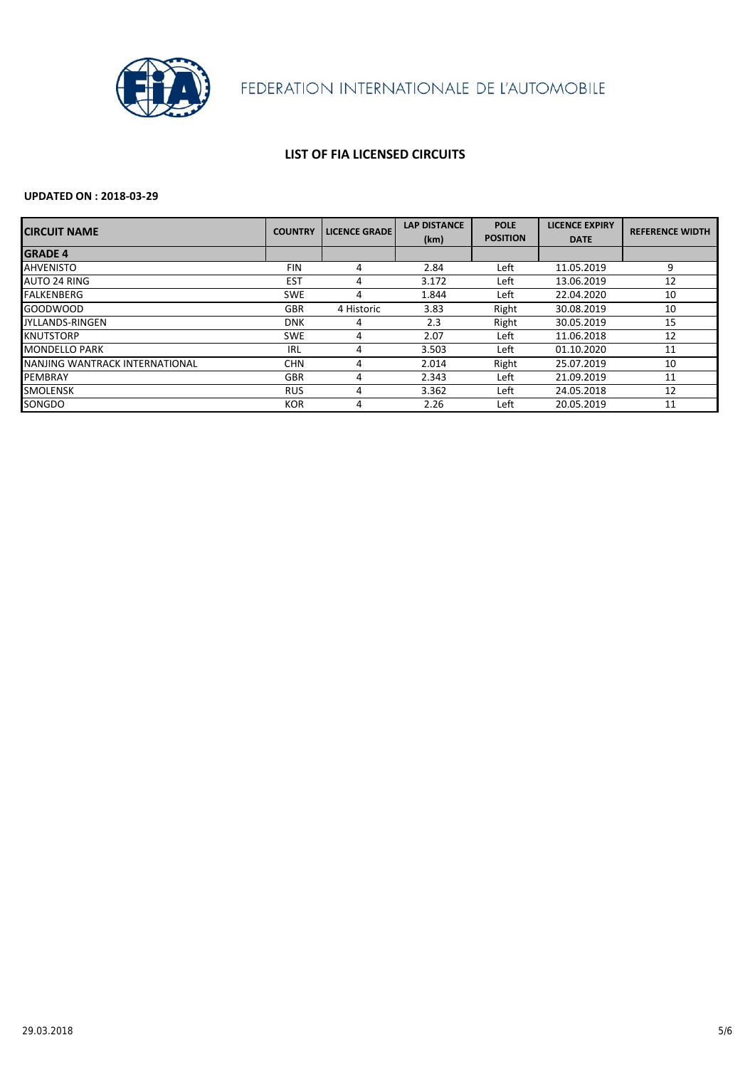

## **LIST OF FIA LICENSED CIRCUITS**

| <b>ICIRCUIT NAME</b>           | <b>COUNTRY</b> | <b>LICENCE GRADE</b> | <b>LAP DISTANCE</b><br>(km) | <b>POLE</b><br><b>POSITION</b> | <b>LICENCE EXPIRY</b><br><b>DATE</b> | <b>REFERENCE WIDTH</b> |
|--------------------------------|----------------|----------------------|-----------------------------|--------------------------------|--------------------------------------|------------------------|
| <b>GRADE 4</b>                 |                |                      |                             |                                |                                      |                        |
| <b>AHVENISTO</b>               | <b>FIN</b>     | 4                    | 2.84                        | Left                           | 11.05.2019                           | 9                      |
| <b>AUTO 24 RING</b>            | <b>EST</b>     | 4                    | 3.172                       | Left                           | 13.06.2019                           | 12                     |
| FALKENBERG                     | <b>SWE</b>     | 4                    | 1.844                       | Left                           | 22.04.2020                           | 10                     |
| <b>GOODWOOD</b>                | <b>GBR</b>     | 4 Historic           | 3.83                        | Right                          | 30.08.2019                           | 10                     |
| <b>JYLLANDS-RINGEN</b>         | <b>DNK</b>     | 4                    | 2.3                         | Right                          | 30.05.2019                           | 15                     |
| <b>KNUTSTORP</b>               | <b>SWE</b>     | 4                    | 2.07                        | Left                           | 11.06.2018                           | 12                     |
| <b>MONDELLO PARK</b>           | IRL            | 4                    | 3.503                       | Left                           | 01.10.2020                           | 11                     |
| NANJING WANTRACK INTERNATIONAL | <b>CHN</b>     | 4                    | 2.014                       | Right                          | 25.07.2019                           | 10                     |
| PEMBRAY                        | <b>GBR</b>     | 4                    | 2.343                       | Left                           | 21.09.2019                           | 11                     |
| <b>SMOLENSK</b>                | <b>RUS</b>     | 4                    | 3.362                       | Left                           | 24.05.2018                           | 12                     |
| SONGDO                         | <b>KOR</b>     | 4                    | 2.26                        | Left                           | 20.05.2019                           | 11                     |